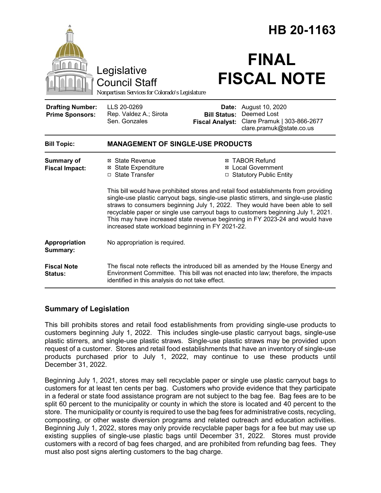|                                                                                 |                                                                                                                                                                                                                                                                                                                                                                                                                                                                                                                                                                                                                                                  |                                               | HB 20-1163                                                                                             |  |
|---------------------------------------------------------------------------------|--------------------------------------------------------------------------------------------------------------------------------------------------------------------------------------------------------------------------------------------------------------------------------------------------------------------------------------------------------------------------------------------------------------------------------------------------------------------------------------------------------------------------------------------------------------------------------------------------------------------------------------------------|-----------------------------------------------|--------------------------------------------------------------------------------------------------------|--|
| Legislative<br>Council Staff<br>Nonpartisan Services for Colorado's Legislature |                                                                                                                                                                                                                                                                                                                                                                                                                                                                                                                                                                                                                                                  | <b>FINAL</b><br><b>FISCAL NOTE</b>            |                                                                                                        |  |
| <b>Drafting Number:</b><br><b>Prime Sponsors:</b>                               | LLS 20-0269<br>Rep. Valdez A.; Sirota<br>Sen. Gonzales                                                                                                                                                                                                                                                                                                                                                                                                                                                                                                                                                                                           | <b>Bill Status:</b><br><b>Fiscal Analyst:</b> | <b>Date:</b> August 10, 2020<br>Deemed Lost<br>Clare Pramuk   303-866-2677<br>clare.pramuk@state.co.us |  |
| <b>Bill Topic:</b>                                                              | <b>MANAGEMENT OF SINGLE-USE PRODUCTS</b>                                                                                                                                                                                                                                                                                                                                                                                                                                                                                                                                                                                                         |                                               |                                                                                                        |  |
| <b>Summary of</b><br><b>Fiscal Impact:</b>                                      | <b>⊠ TABOR Refund</b><br>⊠ State Revenue<br><b>⊠</b> Local Government<br><b>⊠</b> State Expenditure<br>□ State Transfer<br>□ Statutory Public Entity<br>This bill would have prohibited stores and retail food establishments from providing<br>single-use plastic carryout bags, single-use plastic stirrers, and single-use plastic<br>straws to consumers beginning July 1, 2022. They would have been able to sell<br>recyclable paper or single use carryout bags to customers beginning July 1, 2021.<br>This may have increased state revenue beginning in FY 2023-24 and would have<br>increased state workload beginning in FY 2021-22. |                                               |                                                                                                        |  |
| Appropriation<br>Summary:                                                       | No appropriation is required.                                                                                                                                                                                                                                                                                                                                                                                                                                                                                                                                                                                                                    |                                               |                                                                                                        |  |
| <b>Fiscal Note</b><br>Status:                                                   | The fiscal note reflects the introduced bill as amended by the House Energy and<br>Environment Committee. This bill was not enacted into law; therefore, the impacts<br>identified in this analysis do not take effect.                                                                                                                                                                                                                                                                                                                                                                                                                          |                                               |                                                                                                        |  |

## **Summary of Legislation**

This bill prohibits stores and retail food establishments from providing single-use products to customers beginning July 1, 2022. This includes single-use plastic carryout bags, single-use plastic stirrers, and single-use plastic straws. Single-use plastic straws may be provided upon request of a customer. Stores and retail food establishments that have an inventory of single-use products purchased prior to July 1, 2022, may continue to use these products until December 31, 2022.

Beginning July 1, 2021, stores may sell recyclable paper or single use plastic carryout bags to customers for at least ten cents per bag. Customers who provide evidence that they participate in a federal or state food assistance program are not subject to the bag fee. Bag fees are to be split 60 percent to the municipality or county in which the store is located and 40 percent to the store. The municipality or county is required to use the bag fees for administrative costs, recycling, composting, or other waste diversion programs and related outreach and education activities. Beginning July 1, 2022, stores may only provide recyclable paper bags for a fee but may use up existing supplies of single-use plastic bags until December 31, 2022. Stores must provide customers with a record of bag fees charged, and are prohibited from refunding bag fees. They must also post signs alerting customers to the bag charge.